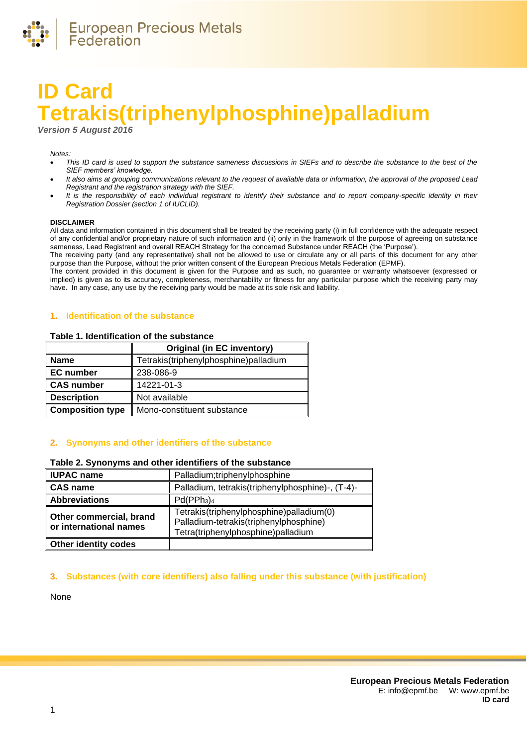

# **ID Card Tetrakis(triphenylphosphine)palladium**

*Version 5 August 2016*

#### *Notes:*

- *This ID card is used to support the substance sameness discussions in SIEFs and to describe the substance to the best of the SIEF members' knowledge.*
- *It also aims at grouping communications relevant to the request of available data or information, the approval of the proposed Lead Registrant and the registration strategy with the SIEF.*
- *It is the responsibility of each individual registrant to identify their substance and to report company-specific identity in their Registration Dossier (section 1 of IUCLID).*

#### **DISCLAIMER**

All data and information contained in this document shall be treated by the receiving party (i) in full confidence with the adequate respect of any confidential and/or proprietary nature of such information and (ii) only in the framework of the purpose of agreeing on substance sameness, Lead Registrant and overall REACH Strategy for the concerned Substance under REACH (the 'Purpose').

The receiving party (and any representative) shall not be allowed to use or circulate any or all parts of this document for any other purpose than the Purpose, without the prior written consent of the European Precious Metals Federation (EPMF).

The content provided in this document is given for the Purpose and as such, no guarantee or warranty whatsoever (expressed or implied) is given as to its accuracy, completeness, merchantability or fitness for any particular purpose which the receiving party may have. In any case, any use by the receiving party would be made at its sole risk and liability.

## **1. Identification of the substance**

#### **Table 1. Identification of the substance**

|                         | <b>Original (in EC inventory)</b>     |  |
|-------------------------|---------------------------------------|--|
| <b>Name</b>             | Tetrakis(triphenylphosphine)palladium |  |
| <b>EC</b> number        | 238-086-9                             |  |
| <b>CAS number</b>       | 14221-01-3                            |  |
| <b>Description</b>      | Not available                         |  |
| <b>Composition type</b> | Mono-constituent substance            |  |

## **2. Synonyms and other identifiers of the substance**

## **Table 2. Synonyms and other identifiers of the substance**

| <b>IUPAC name</b>                                 | Palladium;triphenylphosphine                                                                                             |  |  |
|---------------------------------------------------|--------------------------------------------------------------------------------------------------------------------------|--|--|
| <b>CAS name</b>                                   | Palladium, tetrakis(triphenylphosphine)-, (T-4)-                                                                         |  |  |
| <b>Abbreviations</b>                              | Pd(PPh <sub>3</sub> ) <sub>4</sub>                                                                                       |  |  |
| Other commercial, brand<br>or international names | Tetrakis(triphenylphosphine)palladium(0)<br>Palladium-tetrakis(triphenylphosphine)<br>Tetra(triphenylphosphine)palladium |  |  |
| <b>Other identity codes</b>                       |                                                                                                                          |  |  |

## **3. Substances (with core identifiers) also falling under this substance (with justification)**

None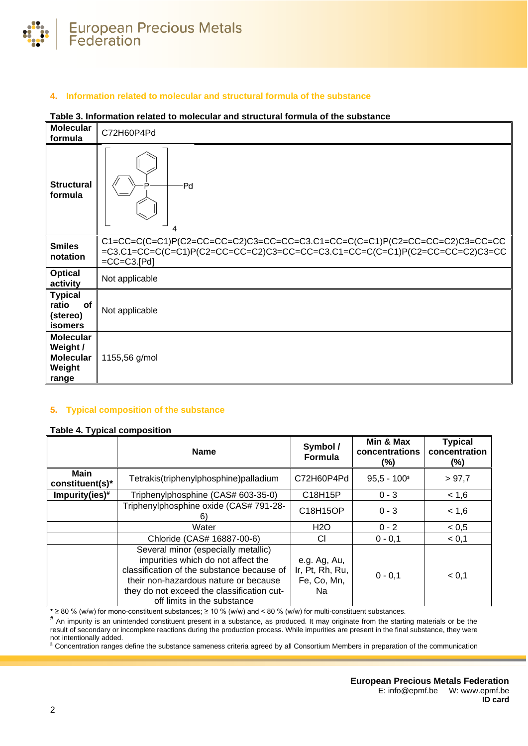

# **4. Information related to molecular and structural formula of the substance**

#### **Table 3. Information related to molecular and structural formula of the substance**

| <b>Molecular</b><br>formula                                         | C72H60P4Pd                                                                                                                                                                                                  |
|---------------------------------------------------------------------|-------------------------------------------------------------------------------------------------------------------------------------------------------------------------------------------------------------|
| <b>Structural</b><br>formula                                        | -Pd<br>4                                                                                                                                                                                                    |
| <b>Smiles</b><br>notation                                           | $C1 = CC = C(C = C1)P(C2 = CC = CC = C2)C3 = CC = CC = C3.C1 = CC = C(C = C1)P(C2 = CC = CC = C2)C3 = CC = CC$<br>=C3.C1=CC=C(C=C1)P(C2=CC=CC=C2)C3=CC=CC=C3.C1=CC=C(C=C1)P(C2=CC=C2)C3=CC<br>$=CC=C3.[Pd]$ |
| <b>Optical</b><br>activity                                          | Not applicable                                                                                                                                                                                              |
| <b>Typical</b><br>ratio<br>of<br>(stereo)<br><b>isomers</b>         | Not applicable                                                                                                                                                                                              |
| <b>Molecular</b><br>Weight /<br><b>Molecular</b><br>Weight<br>range | 1155,56 g/mol                                                                                                                                                                                               |

## **5. Typical composition of the substance**

#### <span id="page-1-0"></span>**Table 4. Typical composition**

|                           | <b>Name</b>                                                                                                                                                                                                                                   | Symbol /<br><b>Formula</b>                           | Min & Max<br>concentrations<br>(%) | <b>Typical</b><br>concentration<br>$(\% )$ |
|---------------------------|-----------------------------------------------------------------------------------------------------------------------------------------------------------------------------------------------------------------------------------------------|------------------------------------------------------|------------------------------------|--------------------------------------------|
| Main<br>$constituent(s)*$ | Tetrakis(triphenylphosphine)palladium                                                                                                                                                                                                         | C72H60P4Pd                                           | $95,5 - 100$ <sup>\$</sup>         | > 97.7                                     |
| Impurity(ies) $#$         | Triphenylphosphine (CAS# 603-35-0)                                                                                                                                                                                                            | C18H15P                                              | $0 - 3$                            | < 1,6                                      |
|                           | Triphenylphosphine oxide (CAS# 791-28-<br>6)                                                                                                                                                                                                  | C18H15OP                                             | $0 - 3$                            | < 1,6                                      |
|                           | Water                                                                                                                                                                                                                                         | H2O                                                  | $0 - 2$                            | < 0, 5                                     |
|                           | Chloride (CAS# 16887-00-6)                                                                                                                                                                                                                    | СI                                                   | $0 - 0.1$                          | < 0,1                                      |
|                           | Several minor (especially metallic)<br>impurities which do not affect the<br>classification of the substance because of<br>their non-hazardous nature or because<br>they do not exceed the classification cut-<br>off limits in the substance | e.g. Ag, Au,<br>Ir, Pt, Rh, Ru,<br>Fe, Co, Mn,<br>Na | $0 - 0.1$                          | < 0,1                                      |

**\*** ≥ 80 % (w/w) for mono-constituent substances; ≥ 10 % (w/w) and < 80 % (w/w) for multi-constituent substances.

**#** An impurity is an unintended constituent present in a substance, as produced. It may originate from the starting materials or be the result of secondary or incomplete reactions during the production process. While impurities are present in the final substance, they were not intentionally added.

§ Concentration ranges define the substance sameness criteria agreed by all Consortium Members in preparation of the communication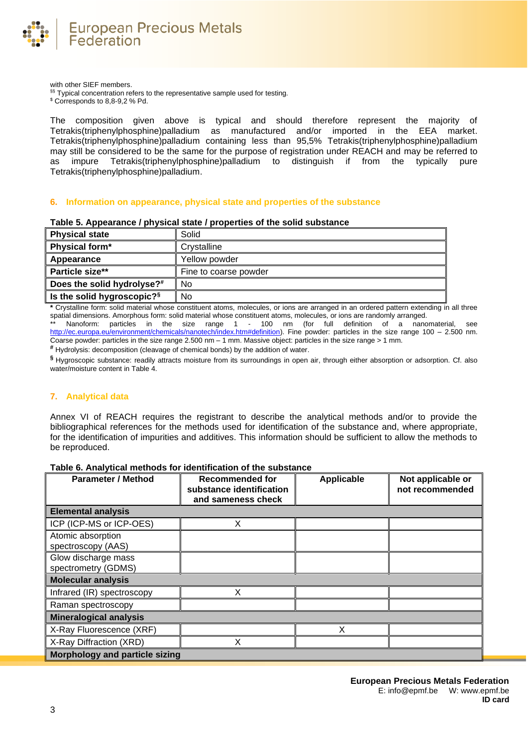

with other SIEF members.

§§ Typical concentration refers to the representative sample used for testing.

\$ Corresponds to 8,8-9,2 % Pd.

The composition given above is typical and should therefore represent the majority of Tetrakis(triphenylphosphine)palladium as manufactured and/or imported in the EEA market. Tetrakis(triphenylphosphine)palladium containing less than 95,5% Tetrakis(triphenylphosphine)palladium may still be considered to be the same for the purpose of registration under REACH and may be referred to as impure Tetrakis(triphenylphosphine)palladium to distinguish if from the typically pure Tetrakis(triphenylphosphine)palladium.

## **6. Information on appearance, physical state and properties of the substance**

| <b>Physical state</b>                  | Solid                 |
|----------------------------------------|-----------------------|
| Physical form*                         | Crystalline           |
| Appearance                             | Yellow powder         |
| Particle size**                        | Fine to coarse powder |
| Does the solid hydrolyse?#             | No                    |
| Is the solid hygroscopic? <sup>§</sup> | No                    |

**Table 5. Appearance / physical state / properties of the solid substance**

**\*** Crystalline form: solid material whose constituent atoms, molecules, or ions are arranged in an ordered pattern extending in all three spatial dimensions. Amorphous form: solid material whose constituent atoms, molecules, or ions are randomly arranged. Nanoform: particles in the size range 1 - 100 nm (for full definition of a nanomaterial, see [http://ec.europa.eu/environment/chemicals/nanotech/index.htm#definition\)](http://ec.europa.eu/environment/chemicals/nanotech/index.htm#definition). Fine powder: particles in the size range 100 – 2.500 nm.

Coarse powder: particles in the size range 2.500 nm – 1 mm. Massive object: particles in the size range > 1 mm.

**#** Hydrolysis: decomposition (cleavage of chemical bonds) by the addition of water.

**§** Hygroscopic substance: readily attracts moisture from its surroundings in open air, through either absorption or adsorption. Cf. also water/moisture content i[n Table 4.](#page-1-0)

## **7. Analytical data**

Annex VI of REACH requires the registrant to describe the analytical methods and/or to provide the bibliographical references for the methods used for identification of the substance and, where appropriate, for the identification of impurities and additives. This information should be sufficient to allow the methods to be reproduced.

## **Table 6. Analytical methods for identification of the substance**

| <b>Parameter / Method</b>                  | Recommended for<br>substance identification<br>and sameness check | <b>Applicable</b> | Not applicable or<br>not recommended |
|--------------------------------------------|-------------------------------------------------------------------|-------------------|--------------------------------------|
| <b>Elemental analysis</b>                  |                                                                   |                   |                                      |
| ICP (ICP-MS or ICP-OES)                    | x                                                                 |                   |                                      |
| Atomic absorption<br>spectroscopy (AAS)    |                                                                   |                   |                                      |
| Glow discharge mass<br>spectrometry (GDMS) |                                                                   |                   |                                      |
| <b>Molecular analysis</b>                  |                                                                   |                   |                                      |
| Infrared (IR) spectroscopy                 | x                                                                 |                   |                                      |
| Raman spectroscopy                         |                                                                   |                   |                                      |
| <b>Mineralogical analysis</b>              |                                                                   |                   |                                      |
| X-Ray Fluorescence (XRF)                   |                                                                   | x                 |                                      |
| X-Ray Diffraction (XRD)                    |                                                                   |                   |                                      |
| <b>Morphology and particle sizing</b>      |                                                                   |                   |                                      |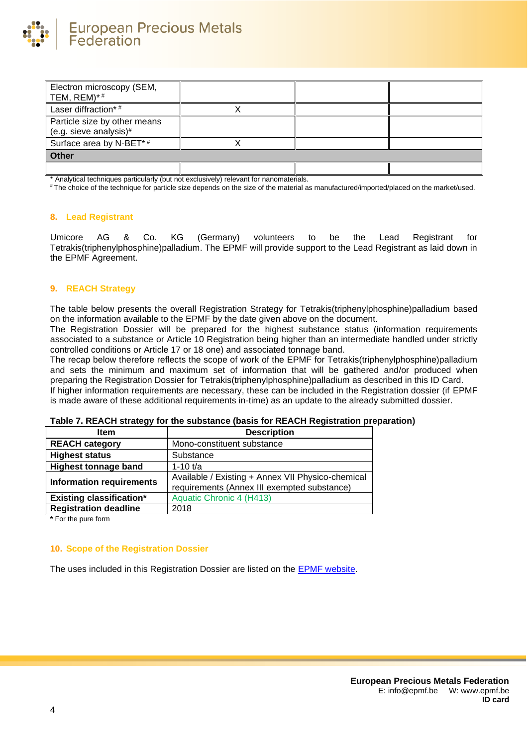

| Electron microscopy (SEM,<br>TEM, REM)*#               |  |  |
|--------------------------------------------------------|--|--|
| Laser diffraction*#                                    |  |  |
| Particle size by other means<br>(e.g. sieve analysis)# |  |  |
| Surface area by N-BET*#                                |  |  |
| Other                                                  |  |  |
|                                                        |  |  |

Analytical techniques particularly (but not exclusively) relevant for nanomaterials.

# The choice of the technique for particle size depends on the size of the material as manufactured/imported/placed on the market/used.

#### **8. Lead Registrant**

Umicore AG & Co. KG (Germany) volunteers to be the Lead Registrant for Tetrakis(triphenylphosphine)palladium. The EPMF will provide support to the Lead Registrant as laid down in the EPMF Agreement.

## **9. REACH Strategy**

The table below presents the overall Registration Strategy for Tetrakis(triphenylphosphine)palladium based on the information available to the EPMF by the date given above on the document.

The Registration Dossier will be prepared for the highest substance status (information requirements associated to a substance or Article 10 Registration being higher than an intermediate handled under strictly controlled conditions or Article 17 or 18 one) and associated tonnage band.

The recap below therefore reflects the scope of work of the EPMF for Tetrakis(triphenylphosphine)palladium and sets the minimum and maximum set of information that will be gathered and/or produced when preparing the Registration Dossier for Tetrakis(triphenylphosphine)palladium as described in this ID Card. If higher information requirements are necessary, these can be included in the Registration dossier (if EPMF is made aware of these additional requirements in-time) as an update to the already submitted dossier.

| <b>Item</b>                     | <b>Description</b>                                |  |
|---------------------------------|---------------------------------------------------|--|
| <b>REACH category</b>           | Mono-constituent substance                        |  |
| <b>Highest status</b>           | Substance                                         |  |
| <b>Highest tonnage band</b>     | 1-10 $t/a$                                        |  |
| <b>Information requirements</b> | Available / Existing + Annex VII Physico-chemical |  |
|                                 | requirements (Annex III exempted substance)       |  |
| <b>Existing classification*</b> | Aquatic Chronic 4 (H413)                          |  |
| <b>Registration deadline</b>    | 2018                                              |  |
|                                 |                                                   |  |

| Table 7. REACH strategy for the substance (basis for REACH Registration preparation) |  |
|--------------------------------------------------------------------------------------|--|
|--------------------------------------------------------------------------------------|--|

**\*** For the pure form

# **10. Scope of the Registration Dossier**

The uses included in this Registration Dossier are listed on the [EPMF website.](https://www.epmf.be/)